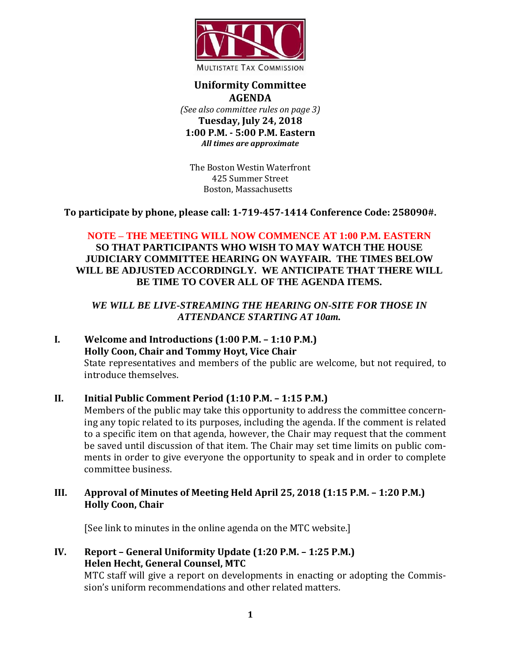

# **Uniformity Committee AGENDA**

*(See also committee rules on page 3)* **Tuesday, July 24, 2018 1:00 P.M. - 5:00 P.M. Eastern**  *All times are approximate*

The Boston Westin Waterfront 425 Summer Street Boston, Massachusetts

**To participate by phone, please call: 1-719-457-1414 Conference Code: 258090#.**

## **NOTE – THE MEETING WILL NOW COMMENCE AT 1:00 P.M. EASTERN SO THAT PARTICIPANTS WHO WISH TO MAY WATCH THE HOUSE JUDICIARY COMMITTEE HEARING ON WAYFAIR. THE TIMES BELOW WILL BE ADJUSTED ACCORDINGLY. WE ANTICIPATE THAT THERE WILL BE TIME TO COVER ALL OF THE AGENDA ITEMS.**

## *WE WILL BE LIVE-STREAMING THE HEARING ON-SITE FOR THOSE IN ATTENDANCE STARTING AT 10am.*

**I. Welcome and Introductions (1:00 P.M. – 1:10 P.M.) Holly Coon, Chair and Tommy Hoyt, Vice Chair** State representatives and members of the public are welcome, but not required, to introduce themselves.

## **II. Initial Public Comment Period (1:10 P.M. – 1:15 P.M.)**

Members of the public may take this opportunity to address the committee concerning any topic related to its purposes, including the agenda. If the comment is related to a specific item on that agenda, however, the Chair may request that the comment be saved until discussion of that item. The Chair may set time limits on public comments in order to give everyone the opportunity to speak and in order to complete committee business.

# **III. Approval of Minutes of Meeting Held April 25, 2018 (1:15 P.M. – 1:20 P.M.) Holly Coon, Chair**

[See link to minutes in the online agenda on the MTC website.]

**IV. Report – General Uniformity Update (1:20 P.M. – 1:25 P.M.) Helen Hecht, General Counsel, MTC** MTC staff will give a report on developments in enacting or adopting the Commission's uniform recommendations and other related matters.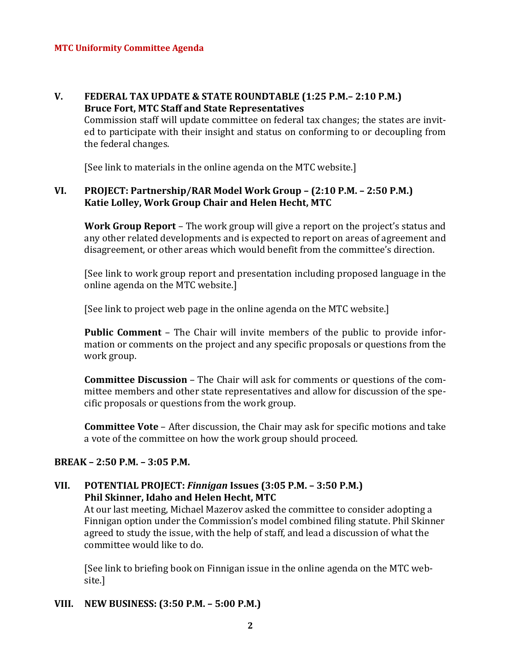## **V. FEDERAL TAX UPDATE & STATE ROUNDTABLE (1:25 P.M.– 2:10 P.M.) Bruce Fort, MTC Staff and State Representatives**

Commission staff will update committee on federal tax changes; the states are invited to participate with their insight and status on conforming to or decoupling from the federal changes.

[See link to materials in the online agenda on the MTC website.]

# **VI. PROJECT: Partnership/RAR Model Work Group – (2:10 P.M. – 2:50 P.M.) Katie Lolley, Work Group Chair and Helen Hecht, MTC**

**Work Group Report** – The work group will give a report on the project's status and any other related developments and is expected to report on areas of agreement and disagreement, or other areas which would benefit from the committee's direction.

[See link to work group report and presentation including proposed language in the online agenda on the MTC website.]

[See link to project web page in the online agenda on the MTC website.]

**Public Comment** – The Chair will invite members of the public to provide information or comments on the project and any specific proposals or questions from the work group.

**Committee Discussion** – The Chair will ask for comments or questions of the committee members and other state representatives and allow for discussion of the specific proposals or questions from the work group.

**Committee Vote** – After discussion, the Chair may ask for specific motions and take a vote of the committee on how the work group should proceed.

## **BREAK – 2:50 P.M. – 3:05 P.M.**

## **VII. POTENTIAL PROJECT:** *Finnigan* **Issues (3:05 P.M. – 3:50 P.M.) Phil Skinner, Idaho and Helen Hecht, MTC**

At our last meeting, Michael Mazerov asked the committee to consider adopting a Finnigan option under the Commission's model combined filing statute. Phil Skinner agreed to study the issue, with the help of staff, and lead a discussion of what the committee would like to do.

[See link to briefing book on Finnigan issue in the online agenda on the MTC website.]

#### **VIII. NEW BUSINESS: (3:50 P.M. – 5:00 P.M.)**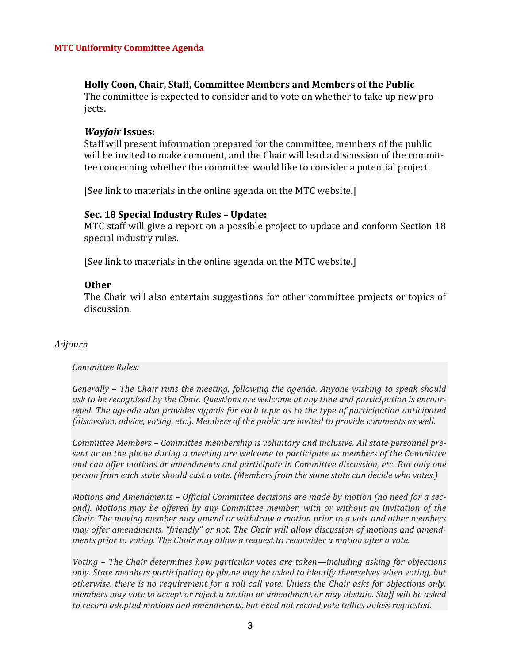#### **Holly Coon, Chair, Staff, Committee Members and Members of the Public**

The committee is expected to consider and to vote on whether to take up new projects.

#### *Wayfair* **Issues:**

Staff will present information prepared for the committee, members of the public will be invited to make comment, and the Chair will lead a discussion of the committee concerning whether the committee would like to consider a potential project.

[See link to materials in the online agenda on the MTC website.]

#### **Sec. 18 Special Industry Rules – Update:**

MTC staff will give a report on a possible project to update and conform Section 18 special industry rules.

[See link to materials in the online agenda on the MTC website.]

#### **Other**

The Chair will also entertain suggestions for other committee projects or topics of discussion.

## *Adjourn*

#### *Committee Rules:*

*Generally – The Chair runs the meeting, following the agenda. Anyone wishing to speak should ask to be recognized by the Chair. Questions are welcome at any time and participation is encouraged. The agenda also provides signals for each topic as to the type of participation anticipated (discussion, advice, voting, etc.). Members of the public are invited to provide comments as well.*

*Committee Members – Committee membership is voluntary and inclusive. All state personnel present or on the phone during a meeting are welcome to participate as members of the Committee and can offer motions or amendments and participate in Committee discussion, etc. But only one person from each state should cast a vote. (Members from the same state can decide who votes.)*

*Motions and Amendments – Official Committee decisions are made by motion (no need for a second). Motions may be offered by any Committee member, with or without an invitation of the Chair. The moving member may amend or withdraw a motion prior to a vote and other members may offer amendments, "friendly" or not. The Chair will allow discussion of motions and amendments prior to voting. The Chair may allow a request to reconsider a motion after a vote.*

*Voting – The Chair determines how particular votes are taken—including asking for objections only. State members participating by phone may be asked to identify themselves when voting, but otherwise, there is no requirement for a roll call vote. Unless the Chair asks for objections only, members may vote to accept or reject a motion or amendment or may abstain. Staff will be asked to record adopted motions and amendments, but need not record vote tallies unless requested.*